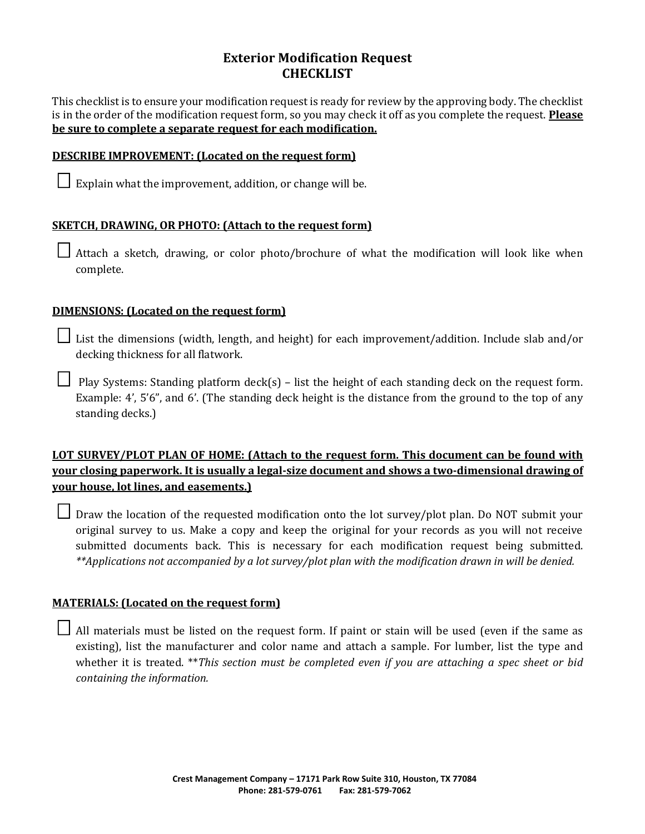# **Exterior Modification Request CHECKLIST**

This checklist is to ensure your modification request is ready for review by the approving body. The checklist is in the order of the modification request form, so you may check it off as you complete the request. **Please be sure to complete a separate request for each modification.** 

#### **DESCRIBE IMPROVEMENT: (Located on the request form)**

 $\Box$  Explain what the improvement, addition, or change will be.

## **SKETCH, DRAWING, OR PHOTO: (Attach to the request form)**

 $\Box$  Attach a sketch, drawing, or color photo/brochure of what the modification will look like when complete.

## **DIMENSIONS: (Located on the request form)**

List the dimensions (width, length, and height) for each improvement/addition. Include slab and/or decking thickness for all flatwork.

Play Systems: Standing platform deck(s) – list the height of each standing deck on the request form. Example: 4', 5'6", and 6'. (The standing deck height is the distance from the ground to the top of any standing decks.)

# **LOT SURVEY/PLOT PLAN OF HOME: (Attach to the request form. This document can be found with your closing paperwork. It is usually a legal-size document and shows a two-dimensional drawing of your house, lot lines, and easements.)**

 $\Box$  Draw the location of the requested modification onto the lot survey/plot plan. Do NOT submit your original survey to us. Make a copy and keep the original for your records as you will not receive submitted documents back. This is necessary for each modification request being submitted. *\*\*Applications not accompanied by a lot survey/plot plan with the modification drawn in will be denied.* 

## **MATERIALS: (Located on the request form)**

 All materials must be listed on the request form. If paint or stain will be used (even if the same as existing), list the manufacturer and color name and attach a sample. For lumber, list the type and whether it is treated. \*\**This section must be completed even if you are attaching a spec sheet or bid containing the information.*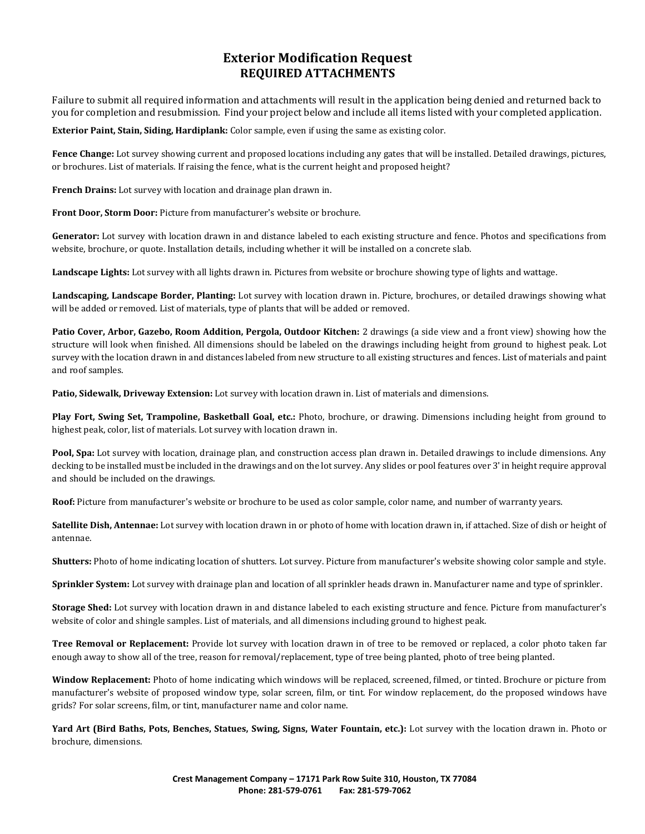## **Exterior Modification Request REQUIRED ATTACHMENTS**

Failure to submit all required information and attachments will result in the application being denied and returned back to you for completion and resubmission. Find your project below and include all items listed with your completed application.

**Exterior Paint, Stain, Siding, Hardiplank:** Color sample, even if using the same as existing color.

Fence Change: Lot survey showing current and proposed locations including any gates that will be installed. Detailed drawings, pictures, or brochures. List of materials. If raising the fence, what is the current height and proposed height?

**French Drains:** Lot survey with location and drainage plan drawn in.

**Front Door, Storm Door:** Picture from manufacturer's website or brochure.

**Generator:** Lot survey with location drawn in and distance labeled to each existing structure and fence. Photos and specifications from website, brochure, or quote. Installation details, including whether it will be installed on a concrete slab.

**Landscape Lights:** Lot survey with all lights drawn in. Pictures from website or brochure showing type of lights and wattage.

**Landscaping, Landscape Border, Planting:** Lot survey with location drawn in. Picture, brochures, or detailed drawings showing what will be added or removed. List of materials, type of plants that will be added or removed.

**Patio Cover, Arbor, Gazebo, Room Addition, Pergola, Outdoor Kitchen:** 2 drawings (a side view and a front view) showing how the structure will look when finished. All dimensions should be labeled on the drawings including height from ground to highest peak. Lot survey with the location drawn in and distances labeled from new structure to all existing structures and fences. List of materials and paint and roof samples.

**Patio, Sidewalk, Driveway Extension:** Lot survey with location drawn in. List of materials and dimensions.

**Play Fort, Swing Set, Trampoline, Basketball Goal, etc.:** Photo, brochure, or drawing. Dimensions including height from ground to highest peak, color, list of materials. Lot survey with location drawn in.

**Pool, Spa:** Lot survey with location, drainage plan, and construction access plan drawn in. Detailed drawings to include dimensions. Any decking to be installed must be included in the drawings and on the lot survey. Any slides or pool features over 3' in height require approval and should be included on the drawings.

**Roof:** Picture from manufacturer's website or brochure to be used as color sample, color name, and number of warranty years.

**Satellite Dish, Antennae:** Lot survey with location drawn in or photo of home with location drawn in, if attached. Size of dish or height of antennae.

**Shutters:** Photo of home indicating location of shutters. Lot survey. Picture from manufacturer's website showing color sample and style.

**Sprinkler System:** Lot survey with drainage plan and location of all sprinkler heads drawn in. Manufacturer name and type of sprinkler.

**Storage Shed:** Lot survey with location drawn in and distance labeled to each existing structure and fence. Picture from manufacturer's website of color and shingle samples. List of materials, and all dimensions including ground to highest peak.

**Tree Removal or Replacement:** Provide lot survey with location drawn in of tree to be removed or replaced, a color photo taken far enough away to show all of the tree, reason for removal/replacement, type of tree being planted, photo of tree being planted.

**Window Replacement:** Photo of home indicating which windows will be replaced, screened, filmed, or tinted. Brochure or picture from manufacturer's website of proposed window type, solar screen, film, or tint. For window replacement, do the proposed windows have grids? For solar screens, film, or tint, manufacturer name and color name.

**Yard Art (Bird Baths, Pots, Benches, Statues, Swing, Signs, Water Fountain, etc.):** Lot survey with the location drawn in. Photo or brochure, dimensions.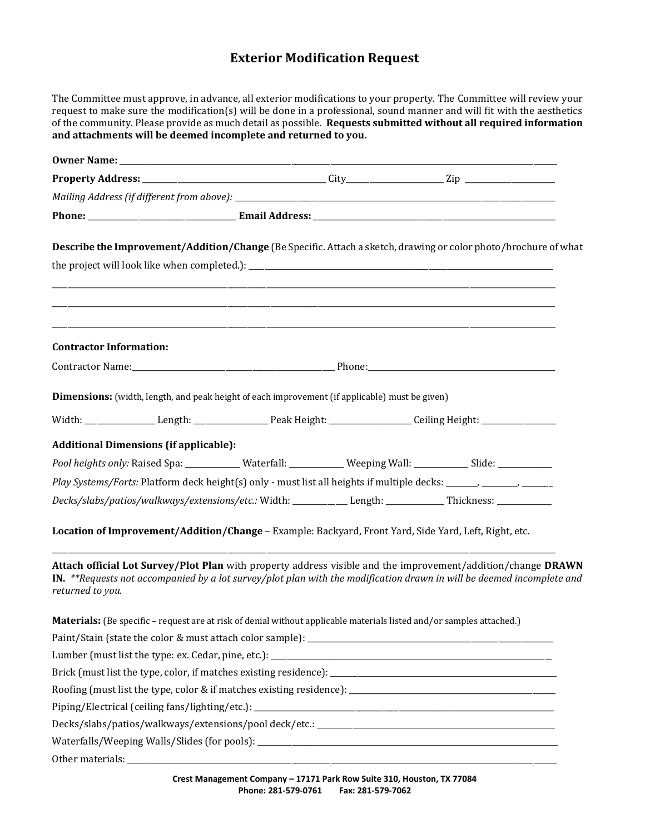# **Exterior Modification Request**

| The Committee must approve, in advance, all exterior modifications to your property. The Committee will review your<br>request to make sure the modification(s) will be done in a professional, sound manner and will fit with the aesthetics<br>of the community. Please provide as much detail as possible. Requests submitted without all required information<br>and attachments will be deemed incomplete and returned to you. |  |                                                                                                                                                                       |  |  |  |  |
|-------------------------------------------------------------------------------------------------------------------------------------------------------------------------------------------------------------------------------------------------------------------------------------------------------------------------------------------------------------------------------------------------------------------------------------|--|-----------------------------------------------------------------------------------------------------------------------------------------------------------------------|--|--|--|--|
|                                                                                                                                                                                                                                                                                                                                                                                                                                     |  |                                                                                                                                                                       |  |  |  |  |
|                                                                                                                                                                                                                                                                                                                                                                                                                                     |  |                                                                                                                                                                       |  |  |  |  |
|                                                                                                                                                                                                                                                                                                                                                                                                                                     |  |                                                                                                                                                                       |  |  |  |  |
|                                                                                                                                                                                                                                                                                                                                                                                                                                     |  |                                                                                                                                                                       |  |  |  |  |
| Describe the Improvement/Addition/Change (Be Specific. Attach a sketch, drawing or color photo/brochure of what                                                                                                                                                                                                                                                                                                                     |  |                                                                                                                                                                       |  |  |  |  |
| <b>Contractor Information:</b>                                                                                                                                                                                                                                                                                                                                                                                                      |  | ,我们也不能在这里的时候,我们也不能在这里的时候,我们也不能会在这里的时候,我们也不能会在这里的时候,我们也不能会在这里的时候,我们也不能会在这里的时候,我们也不<br>,我们也不能在这里的时候,我们也不能在这里的时候,我们也不能会在这里的时候,我们也不能会在这里的时候,我们也不能会在这里的时候,我们也不能会在这里的时候,我们也 |  |  |  |  |
|                                                                                                                                                                                                                                                                                                                                                                                                                                     |  |                                                                                                                                                                       |  |  |  |  |
| Dimensions: (width, length, and peak height of each improvement (if applicable) must be given)                                                                                                                                                                                                                                                                                                                                      |  |                                                                                                                                                                       |  |  |  |  |
|                                                                                                                                                                                                                                                                                                                                                                                                                                     |  |                                                                                                                                                                       |  |  |  |  |
| <b>Additional Dimensions (if applicable):</b>                                                                                                                                                                                                                                                                                                                                                                                       |  |                                                                                                                                                                       |  |  |  |  |
| Pool heights only: Raised Spa: ____________ Waterfall: ___________ Weeping Wall: ___________ Slide: __________                                                                                                                                                                                                                                                                                                                      |  |                                                                                                                                                                       |  |  |  |  |
| Play Systems/Forts: Platform deck height(s) only - must list all heights if multiple decks: _______, _______, _______                                                                                                                                                                                                                                                                                                               |  |                                                                                                                                                                       |  |  |  |  |
| Decks/slabs/patios/walkways/extensions/etc.: Width: ___________ Length: ___________ Thickness: __________                                                                                                                                                                                                                                                                                                                           |  |                                                                                                                                                                       |  |  |  |  |
| Location of Improvement/Addition/Change - Example: Backyard, Front Yard, Side Yard, Left, Right, etc.                                                                                                                                                                                                                                                                                                                               |  |                                                                                                                                                                       |  |  |  |  |
| Attach official Lot Survey/Plot Plan with property address visible and the improvement/addition/change DRAWN<br>IN. $**$ Requests not accompanied by a lot survey/plot plan with the modification drawn in will be deemed incomplete and<br>returned to you.                                                                                                                                                                        |  |                                                                                                                                                                       |  |  |  |  |
| Materials: (Be specific - request are at risk of denial without applicable materials listed and/or samples attached.)                                                                                                                                                                                                                                                                                                               |  |                                                                                                                                                                       |  |  |  |  |
|                                                                                                                                                                                                                                                                                                                                                                                                                                     |  |                                                                                                                                                                       |  |  |  |  |
|                                                                                                                                                                                                                                                                                                                                                                                                                                     |  |                                                                                                                                                                       |  |  |  |  |
|                                                                                                                                                                                                                                                                                                                                                                                                                                     |  |                                                                                                                                                                       |  |  |  |  |
|                                                                                                                                                                                                                                                                                                                                                                                                                                     |  |                                                                                                                                                                       |  |  |  |  |
|                                                                                                                                                                                                                                                                                                                                                                                                                                     |  |                                                                                                                                                                       |  |  |  |  |
|                                                                                                                                                                                                                                                                                                                                                                                                                                     |  |                                                                                                                                                                       |  |  |  |  |
|                                                                                                                                                                                                                                                                                                                                                                                                                                     |  |                                                                                                                                                                       |  |  |  |  |
|                                                                                                                                                                                                                                                                                                                                                                                                                                     |  |                                                                                                                                                                       |  |  |  |  |